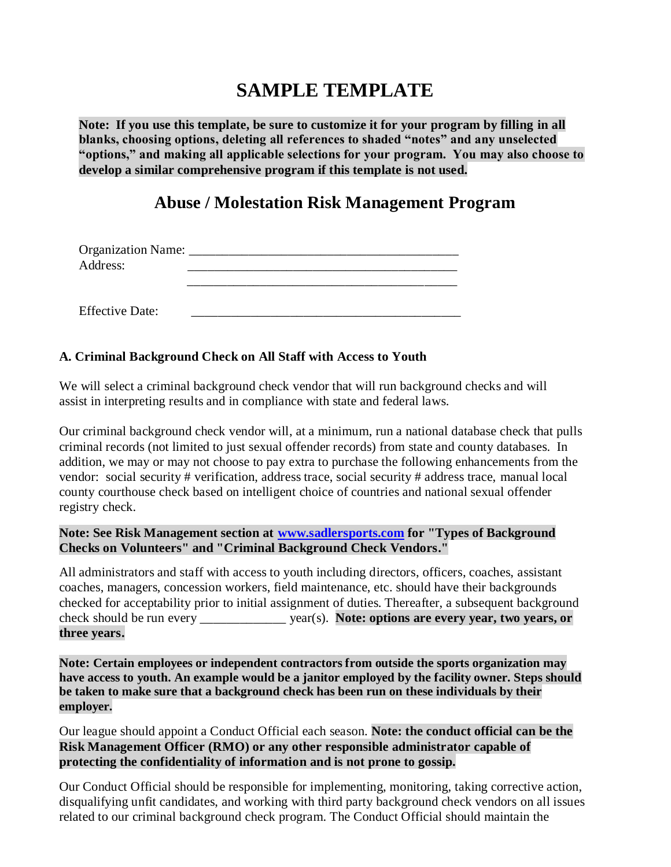# **SAMPLE TEMPLATE**

**Note: If you use this template, be sure to customize it for your program by filling in all blanks, choosing options, deleting all references to shaded "notes" and any unselected "options," and making all applicable selections for your program. You may also choose to develop a similar comprehensive program if this template is not used.**

# **Abuse / Molestation Risk Management Program**

| Organization Name: |  |
|--------------------|--|
| Address:           |  |
|                    |  |
|                    |  |

**A. Criminal Background Check on All Staff with Access to Youth**

Effective Date:

We will select a criminal background check vendor that will run background checks and will assist in interpreting results and in compliance with state and federal laws.

Our criminal background check vendor will, at a minimum, run a national database check that pulls criminal records (not limited to just sexual offender records) from state and county databases. In addition, we may or may not choose to pay extra to purchase the following enhancements from the vendor: social security # verification, address trace, social security # address trace, manual local county courthouse check based on intelligent choice of countries and national sexual offender registry check.

#### **Note: See Risk Management section at [www.sadlersports.com](http://www.sadlersports.com/) for "Types of Background Checks on Volunteers" and "Criminal Background Check Vendors."**

All administrators and staff with access to youth including directors, officers, coaches, assistant coaches, managers, concession workers, field maintenance, etc. should have their backgrounds checked for acceptability prior to initial assignment of duties. Thereafter, a subsequent background check should be run every \_\_\_\_\_\_\_\_\_\_\_\_\_ year(s). **Note: options are every year, two years, or three years.**

**Note: Certain employees or independent contractors from outside the sports organization may have access to youth. An example would be a janitor employed by the facility owner. Steps should be taken to make sure that a background check has been run on these individuals by their employer.**

Our league should appoint a Conduct Official each season. **Note: the conduct official can be the Risk Management Officer (RMO) or any other responsible administrator capable of protecting the confidentiality of information and is not prone to gossip.**

Our Conduct Official should be responsible for implementing, monitoring, taking corrective action, disqualifying unfit candidates, and working with third party background check vendors on all issues related to our criminal background check program. The Conduct Official should maintain the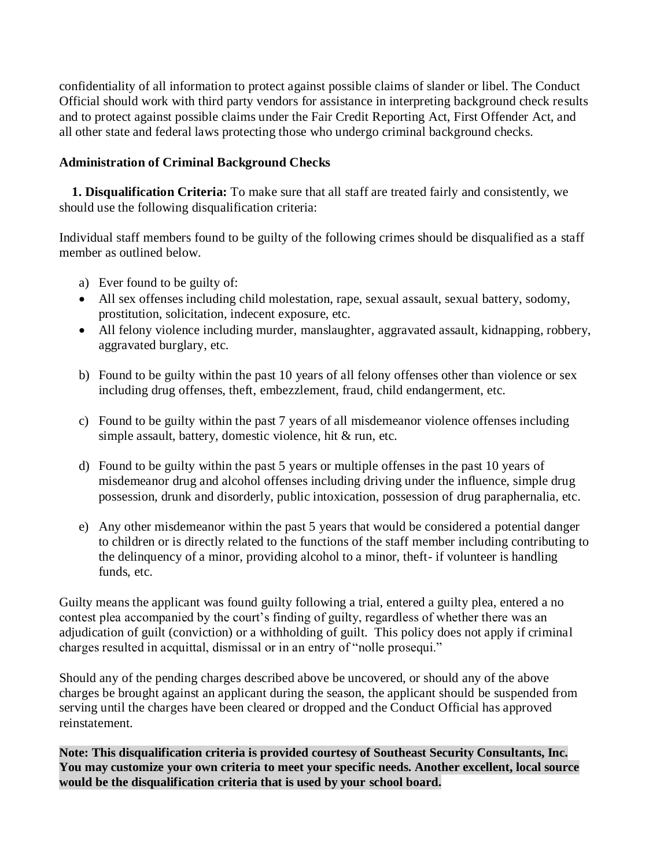confidentiality of all information to protect against possible claims of slander or libel. The Conduct Official should work with third party vendors for assistance in interpreting background check results and to protect against possible claims under the Fair Credit Reporting Act, First Offender Act, and all other state and federal laws protecting those who undergo criminal background checks.

### **Administration of Criminal Background Checks**

 **1. Disqualification Criteria:** To make sure that all staff are treated fairly and consistently, we should use the following disqualification criteria:

Individual staff members found to be guilty of the following crimes should be disqualified as a staff member as outlined below.

- a) Ever found to be guilty of:
- All sex offenses including child molestation, rape, sexual assault, sexual battery, sodomy, prostitution, solicitation, indecent exposure, etc.
- All felony violence including murder, manslaughter, aggravated assault, kidnapping, robbery, aggravated burglary, etc.
- b) Found to be guilty within the past 10 years of all felony offenses other than violence or sex including drug offenses, theft, embezzlement, fraud, child endangerment, etc.
- c) Found to be guilty within the past 7 years of all misdemeanor violence offenses including simple assault, battery, domestic violence, hit & run, etc.
- d) Found to be guilty within the past 5 years or multiple offenses in the past 10 years of misdemeanor drug and alcohol offenses including driving under the influence, simple drug possession, drunk and disorderly, public intoxication, possession of drug paraphernalia, etc.
- e) Any other misdemeanor within the past 5 years that would be considered a potential danger to children or is directly related to the functions of the staff member including contributing to the delinquency of a minor, providing alcohol to a minor, theft- if volunteer is handling funds, etc.

Guilty means the applicant was found guilty following a trial, entered a guilty plea, entered a no contest plea accompanied by the court's finding of guilty, regardless of whether there was an adjudication of guilt (conviction) or a withholding of guilt. This policy does not apply if criminal charges resulted in acquittal, dismissal or in an entry of "nolle prosequi."

Should any of the pending charges described above be uncovered, or should any of the above charges be brought against an applicant during the season, the applicant should be suspended from serving until the charges have been cleared or dropped and the Conduct Official has approved reinstatement.

**Note: This disqualification criteria is provided courtesy of Southeast Security Consultants, Inc. You may customize your own criteria to meet your specific needs. Another excellent, local source would be the disqualification criteria that is used by your school board.**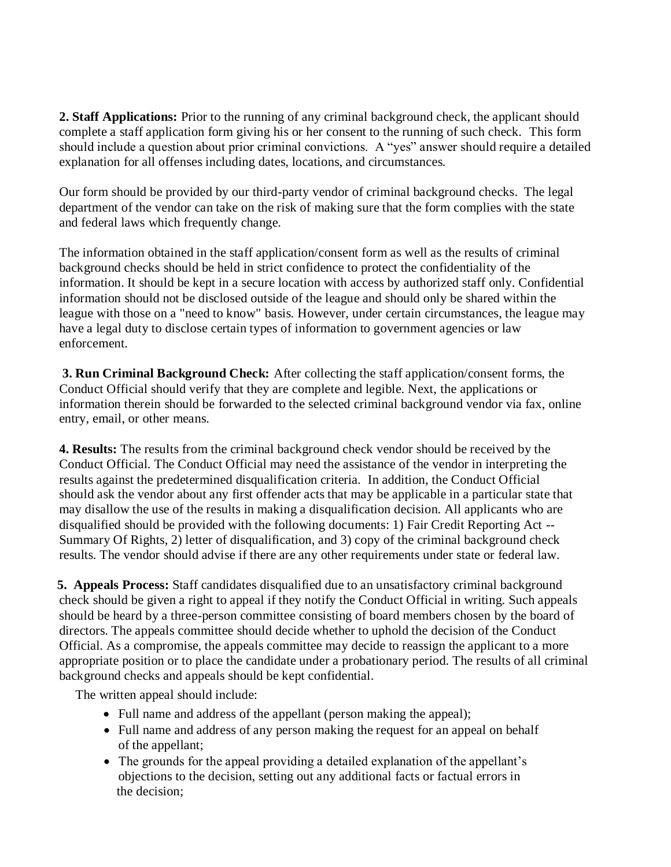**2. Staff Applications:** Prior to the running of any criminal background check, the applicant should complete a staff application form giving his or her consent to the running of such check. This form should include a question about prior criminal convictions. A "yes" answer should require a detailed explanation for all offenses including dates, locations, and circumstances.

Our form should be provided by our third-party vendor of criminal background checks. The legal department of the vendor can take on the risk of making sure that the form complies with the state and federal laws which frequently change.

The information obtained in the staff application/consent form as well as the results of criminal background checks should be held in strict confidence to protect the confidentiality of the information. It should be kept in a secure location with access by authorized staff only. Confidential information should not be disclosed outside of the league and should only be shared within the league with those on a "need to know" basis. However, under certain circumstances, the league may have a legal duty to disclose certain types of information to government agencies or law enforcement.

**3. Run Criminal Background Check:** After collecting the staff application/consent forms, the Conduct Official should verify that they are complete and legible. Next, the applications or information therein should be forwarded to the selected criminal background vendor via fax, online entry, email, or other means.

**4. Results:** The results from the criminal background check vendor should be received by the Conduct Official. The Conduct Official may need the assistance of the vendor in interpreting the results against the predetermined disqualification criteria. In addition, the Conduct Official should ask the vendor about any first offender acts that may be applicable in a particular state that may disallow the use of the results in making a disqualification decision. All applicants who are disqualified should be provided with the following documents: 1) Fair Credit Reporting Act -- Summary Of Rights, 2) letter of disqualification, and 3) copy of the criminal background check results. The vendor should advise if there are any other requirements under state or federal law.

**5. Appeals Process:** Staff candidates disqualified due to an unsatisfactory criminal background check should be given a right to appeal if they notify the Conduct Official in writing. Such appeals should be heard by a three-person committee consisting of board members chosen by the board of directors. The appeals committee should decide whether to uphold the decision of the Conduct Official. As a compromise, the appeals committee may decide to reassign the applicant to a more appropriate position or to place the candidate under a probationary period. The results of all criminal background checks and appeals should be kept confidential.

The written appeal should include:

- Full name and address of the appellant (person making the appeal);
- Full name and address of any person making the request for an appeal on behalf of the appellant;
- The grounds for the appeal providing a detailed explanation of the appellant's objections to the decision, setting out any additional facts or factual errors in the decision;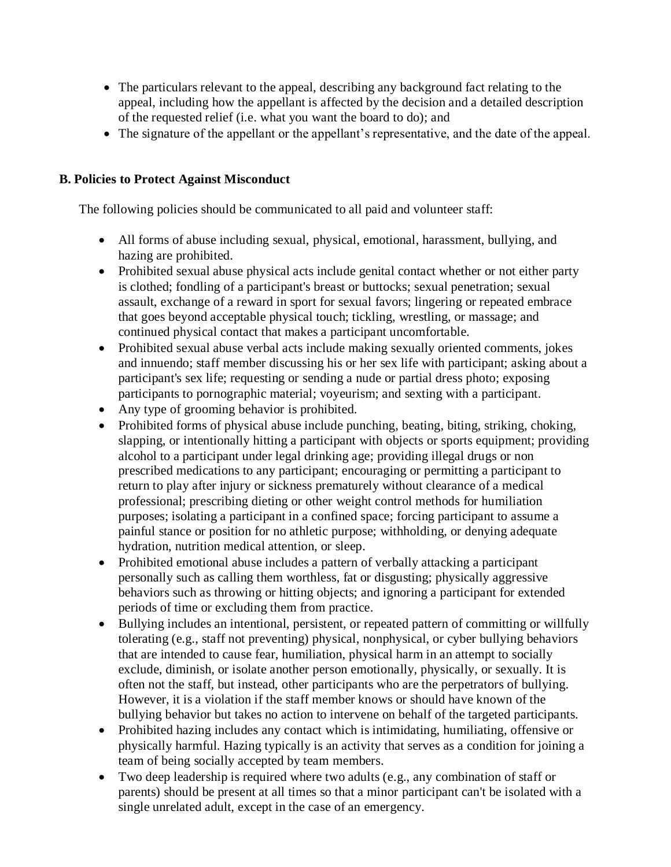- The particulars relevant to the appeal, describing any background fact relating to the appeal, including how the appellant is affected by the decision and a detailed description of the requested relief (i.e. what you want the board to do); and
- The signature of the appellant or the appellant's representative, and the date of the appeal.

#### **B. Policies to Protect Against Misconduct**

The following policies should be communicated to all paid and volunteer staff:

- All forms of abuse including sexual, physical, emotional, harassment, bullying, and hazing are prohibited.
- Prohibited sexual abuse physical acts include genital contact whether or not either party is clothed; fondling of a participant's breast or buttocks; sexual penetration; sexual assault, exchange of a reward in sport for sexual favors; lingering or repeated embrace that goes beyond acceptable physical touch; tickling, wrestling, or massage; and continued physical contact that makes a participant uncomfortable.
- Prohibited sexual abuse verbal acts include making sexually oriented comments, jokes and innuendo; staff member discussing his or her sex life with participant; asking about a participant's sex life; requesting or sending a nude or partial dress photo; exposing participants to pornographic material; voyeurism; and sexting with a participant.
- Any type of grooming behavior is prohibited.
- Prohibited forms of physical abuse include punching, beating, biting, striking, choking, slapping, or intentionally hitting a participant with objects or sports equipment; providing alcohol to a participant under legal drinking age; providing illegal drugs or non prescribed medications to any participant; encouraging or permitting a participant to return to play after injury or sickness prematurely without clearance of a medical professional; prescribing dieting or other weight control methods for humiliation purposes; isolating a participant in a confined space; forcing participant to assume a painful stance or position for no athletic purpose; withholding, or denying adequate hydration, nutrition medical attention, or sleep.
- Prohibited emotional abuse includes a pattern of verbally attacking a participant personally such as calling them worthless, fat or disgusting; physically aggressive behaviors such as throwing or hitting objects; and ignoring a participant for extended periods of time or excluding them from practice.
- Bullying includes an intentional, persistent, or repeated pattern of committing or willfully tolerating (e.g., staff not preventing) physical, nonphysical, or cyber bullying behaviors that are intended to cause fear, humiliation, physical harm in an attempt to socially exclude, diminish, or isolate another person emotionally, physically, or sexually. It is often not the staff, but instead, other participants who are the perpetrators of bullying. However, it is a violation if the staff member knows or should have known of the bullying behavior but takes no action to intervene on behalf of the targeted participants.
- Prohibited hazing includes any contact which is intimidating, humiliating, offensive or physically harmful. Hazing typically is an activity that serves as a condition for joining a team of being socially accepted by team members.
- Two deep leadership is required where two adults (e.g., any combination of staff or parents) should be present at all times so that a minor participant can't be isolated with a single unrelated adult, except in the case of an emergency.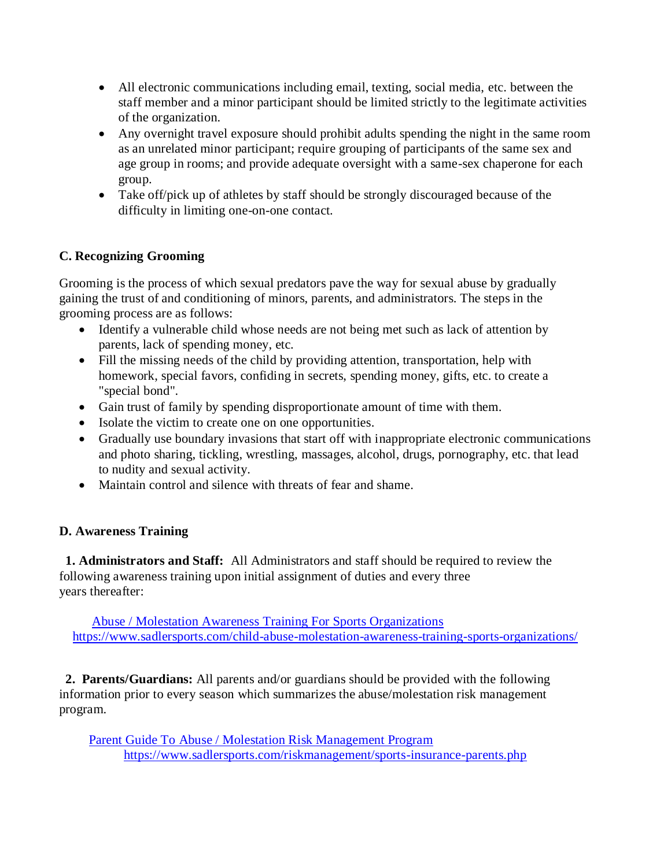- All electronic communications including email, texting, social media, etc. between the staff member and a minor participant should be limited strictly to the legitimate activities of the organization.
- Any overnight travel exposure should prohibit adults spending the night in the same room as an unrelated minor participant; require grouping of participants of the same sex and age group in rooms; and provide adequate oversight with a same-sex chaperone for each group.
- Take off/pick up of athletes by staff should be strongly discouraged because of the difficulty in limiting one-on-one contact.

# **C. Recognizing Grooming**

Grooming is the process of which sexual predators pave the way for sexual abuse by gradually gaining the trust of and conditioning of minors, parents, and administrators. The steps in the grooming process are as follows:

- Identify a vulnerable child whose needs are not being met such as lack of attention by parents, lack of spending money, etc.
- Fill the missing needs of the child by providing attention, transportation, help with homework, special favors, confiding in secrets, spending money, gifts, etc. to create a "special bond".
- Gain trust of family by spending disproportionate amount of time with them.
- Isolate the victim to create one on one opportunities.
- Gradually use boundary invasions that start off with inappropriate electronic communications and photo sharing, tickling, wrestling, massages, alcohol, drugs, pornography, etc. that lead to nudity and sexual activity.
- Maintain control and silence with threats of fear and shame.

# **D. Awareness Training**

 **1. Administrators and Staff:** All Administrators and staff should be required to review the following awareness training upon initial assignment of duties and every three years thereafter:

 Abuse / Molestation Awareness [Training For Sports Organizations](http://www.sadlersports.com/child-abuse-molestation-awareness-training-sports-organizations/) <https://www.sadlersports.com/child-abuse-molestation-awareness-training-sports-organizations/>

 **2. Parents/Guardians:** All parents and/or guardians should be provided with the following information prior to every season which summarizes the abuse/molestation risk management program.

 Parent Guide [To Abuse / Molestation Risk Management Program](http://www.sadlersports.com/riskmanagement/sports-insurance-parents.php) <https://www.sadlersports.com/riskmanagement/sports-insurance-parents.php>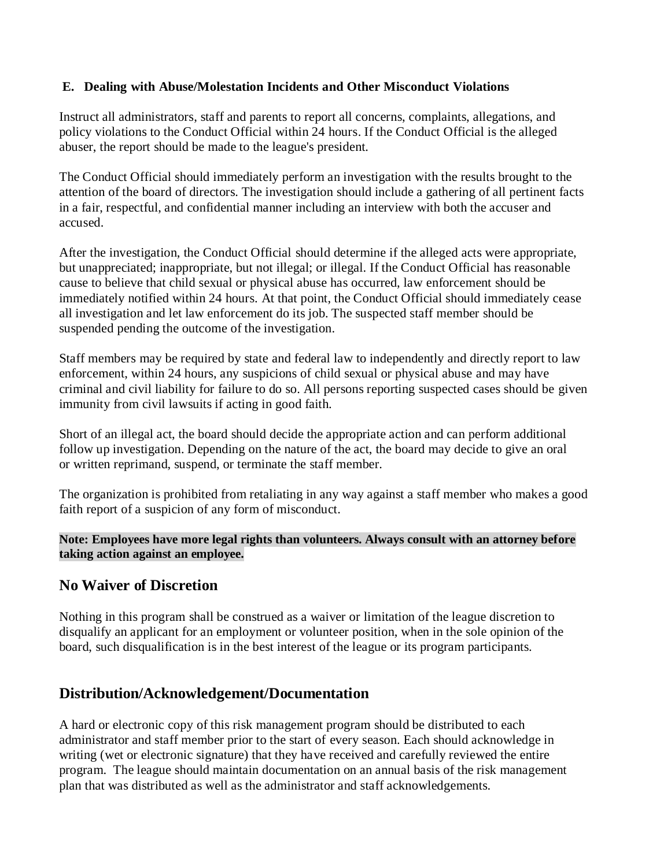#### **E. Dealing with Abuse/Molestation Incidents and Other Misconduct Violations**

Instruct all administrators, staff and parents to report all concerns, complaints, allegations, and policy violations to the Conduct Official within 24 hours. If the Conduct Official is the alleged abuser, the report should be made to the league's president.

The Conduct Official should immediately perform an investigation with the results brought to the attention of the board of directors. The investigation should include a gathering of all pertinent facts in a fair, respectful, and confidential manner including an interview with both the accuser and accused.

After the investigation, the Conduct Official should determine if the alleged acts were appropriate, but unappreciated; inappropriate, but not illegal; or illegal. If the Conduct Official has reasonable cause to believe that child sexual or physical abuse has occurred, law enforcement should be immediately notified within 24 hours. At that point, the Conduct Official should immediately cease all investigation and let law enforcement do its job. The suspected staff member should be suspended pending the outcome of the investigation.

Staff members may be required by state and federal law to independently and directly report to law enforcement, within 24 hours, any suspicions of child sexual or physical abuse and may have criminal and civil liability for failure to do so. All persons reporting suspected cases should be given immunity from civil lawsuits if acting in good faith.

Short of an illegal act, the board should decide the appropriate action and can perform additional follow up investigation. Depending on the nature of the act, the board may decide to give an oral or written reprimand, suspend, or terminate the staff member.

The organization is prohibited from retaliating in any way against a staff member who makes a good faith report of a suspicion of any form of misconduct.

**Note: Employees have more legal rights than volunteers. Always consult with an attorney before taking action against an employee.**

# **No Waiver of Discretion**

Nothing in this program shall be construed as a waiver or limitation of the league discretion to disqualify an applicant for an employment or volunteer position, when in the sole opinion of the board, such disqualification is in the best interest of the league or its program participants.

# **Distribution/Acknowledgement/Documentation**

A hard or electronic copy of this risk management program should be distributed to each administrator and staff member prior to the start of every season. Each should acknowledge in writing (wet or electronic signature) that they have received and carefully reviewed the entire program. The league should maintain documentation on an annual basis of the risk management plan that was distributed as well as the administrator and staff acknowledgements.